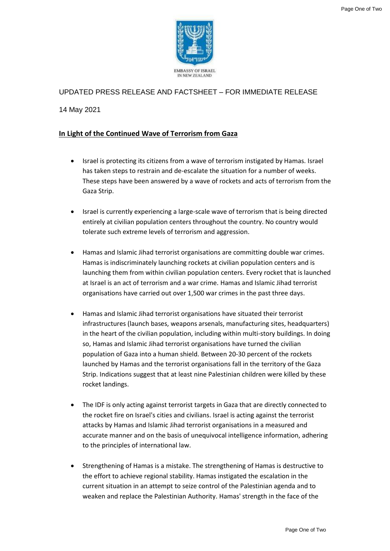

## UPDATED PRESS RELEASE AND FACTSHEET – FOR IMMEDIATE RELEASE

14 May 2021

## **In Light of the Continued Wave of Terrorism from Gaza**

- Israel is protecting its citizens from a wave of terrorism instigated by Hamas. Israel has taken steps to restrain and de-escalate the situation for a number of weeks. These steps have been answered by a wave of rockets and acts of terrorism from the Gaza Strip.
- Israel is currently experiencing a large-scale wave of terrorism that is being directed entirely at civilian population centers throughout the country. No country would tolerate such extreme levels of terrorism and aggression.
- Hamas and Islamic Jihad terrorist organisations are committing double war crimes. Hamas is indiscriminately launching rockets at civilian population centers and is launching them from within civilian population centers. Every rocket that is launched at Israel is an act of terrorism and a war crime. Hamas and Islamic Jihad terrorist organisations have carried out over 1,500 war crimes in the past three days.
- Hamas and Islamic Jihad terrorist organisations have situated their terrorist infrastructures (launch bases, weapons arsenals, manufacturing sites, headquarters) in the heart of the civilian population, including within multi-story buildings. In doing so, Hamas and Islamic Jihad terrorist organisations have turned the civilian population of Gaza into a human shield. Between 20-30 percent of the rockets launched by Hamas and the terrorist organisations fall in the territory of the Gaza Strip. Indications suggest that at least nine Palestinian children were killed by these rocket landings.
- The IDF is only acting against terrorist targets in Gaza that are directly connected to the rocket fire on Israel's cities and civilians. Israel is acting against the terrorist attacks by Hamas and Islamic Jihad terrorist organisations in a measured and accurate manner and on the basis of unequivocal intelligence information, adhering to the principles of international law.
- Strengthening of Hamas is a mistake. The strengthening of Hamas is destructive to the effort to achieve regional stability. Hamas instigated the escalation in the current situation in an attempt to seize control of the Palestinian agenda and to weaken and replace the Palestinian Authority. Hamas' strength in the face of the